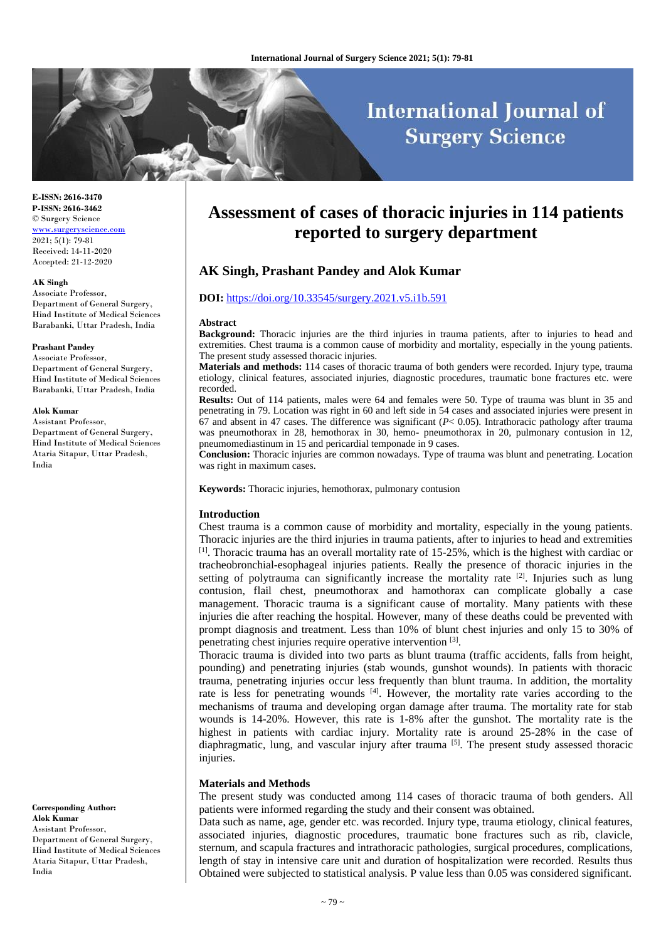# **International Journal of Surgery Science**

**E-ISSN: 2616-3470 P-ISSN: 2616-3462** © Surgery Science [www.surgeryscience.com](http://www.surgeryscience.com/) 2021; 5(1): 79-81 Received: 14-11-2020 Accepted: 21-12-2020

#### **AK Singh**

Associate Professor, Department of General Surgery, Hind Institute of Medical Sciences Barabanki, Uttar Pradesh, India

#### **Prashant Pandey**

Associate Professor, Department of General Surgery, Hind Institute of Medical Sciences Barabanki, Uttar Pradesh, India

## **Alok Kumar**

Assistant Professor, Department of General Surgery, Hind Institute of Medical Sciences Ataria Sitapur, Uttar Pradesh, India

**Corresponding Author: Alok Kumar** Assistant Professor, Department of General Surgery, Hind Institute of Medical Sciences Ataria Sitapur, Uttar Pradesh, India

## **Assessment of cases of thoracic injuries in 114 patients reported to surgery department**

## **AK Singh, Prashant Pandey and Alok Kumar**

#### **DOI:** <https://doi.org/10.33545/surgery.2021.v5.i1b.591>

#### **Abstract**

**Background:** Thoracic injuries are the third injuries in trauma patients, after to injuries to head and extremities. Chest trauma is a common cause of morbidity and mortality, especially in the young patients. The present study assessed thoracic injuries.

**Materials and methods:** 114 cases of thoracic trauma of both genders were recorded. Injury type, trauma etiology, clinical features, associated injuries, diagnostic procedures, traumatic bone fractures etc. were recorded.

**Results:** Out of 114 patients, males were 64 and females were 50. Type of trauma was blunt in 35 and penetrating in 79. Location was right in 60 and left side in 54 cases and associated injuries were present in 67 and absent in 47 cases. The difference was significant (*P*< 0.05). Intrathoracic pathology after trauma was pneumothorax in 28, hemothorax in 30, hemo- pneumothorax in 20, pulmonary contusion in 12, pneumomediastinum in 15 and pericardial temponade in 9 cases.

**Conclusion:** Thoracic injuries are common nowadays. Type of trauma was blunt and penetrating. Location was right in maximum cases.

**Keywords:** Thoracic injuries, hemothorax, pulmonary contusion

#### **Introduction**

Chest trauma is a common cause of morbidity and mortality, especially in the young patients. Thoracic injuries are the third injuries in trauma patients, after to injuries to head and extremities  $[1]$ . Thoracic trauma has an overall mortality rate of 15-25%, which is the highest with cardiac or tracheobronchial-esophageal injuries patients. Really the presence of thoracic injuries in the setting of polytrauma can significantly increase the mortality rate <sup>[2]</sup>. Injuries such as lung contusion, flail chest, pneumothorax and hamothorax can complicate globally a case management. Thoracic trauma is a significant cause of mortality. Many patients with these injuries die after reaching the hospital. However, many of these deaths could be prevented with prompt diagnosis and treatment. Less than 10% of blunt chest injuries and only 15 to 30% of penetrating chest injuries require operative intervention [3].

Thoracic trauma is divided into two parts as blunt trauma (traffic accidents, falls from height, pounding) and penetrating injuries (stab wounds, gunshot wounds). In patients with thoracic trauma, penetrating injuries occur less frequently than blunt trauma. In addition, the mortality rate is less for penetrating wounds  $^{[4]}$ . However, the mortality rate varies according to the mechanisms of trauma and developing organ damage after trauma. The mortality rate for stab wounds is 14-20%. However, this rate is 1-8% after the gunshot. The mortality rate is the highest in patients with cardiac injury. Mortality rate is around 25-28% in the case of diaphragmatic, lung, and vascular injury after trauma  $\left[5\right]$ . The present study assessed thoracic injuries.

#### **Materials and Methods**

The present study was conducted among 114 cases of thoracic trauma of both genders. All patients were informed regarding the study and their consent was obtained.

Data such as name, age, gender etc. was recorded. Injury type, trauma etiology, clinical features, associated injuries, diagnostic procedures, traumatic bone fractures such as rib, clavicle, sternum, and scapula fractures and intrathoracic pathologies, surgical procedures, complications, length of stay in intensive care unit and duration of hospitalization were recorded. Results thus Obtained were subjected to statistical analysis. P value less than 0.05 was considered significant.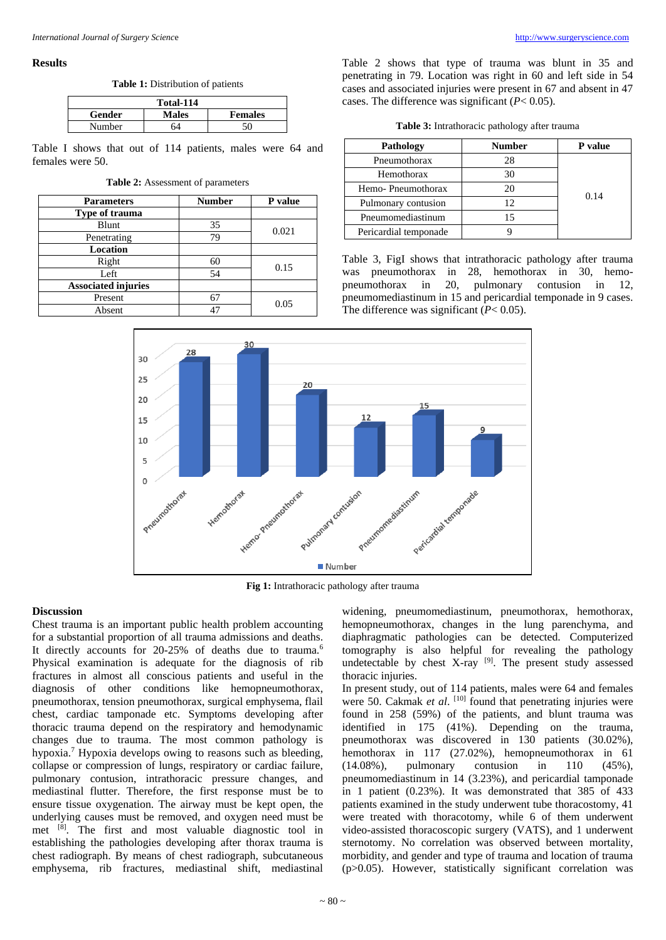#### **Results**

**Table 1:** Distribution of patients

| Total-114 |              |                |  |
|-----------|--------------|----------------|--|
| Gender    | <b>Males</b> | <b>Females</b> |  |
| Number    | 64           | 50             |  |

Table I shows that out of 114 patients, males were 64 and females were 50.

**Table 2:** Assessment of parameters

| <b>Parameters</b>          | <b>Number</b> | P value |  |
|----------------------------|---------------|---------|--|
| Type of trauma             |               |         |  |
| Blunt                      | 35            | 0.021   |  |
| Penetrating                | 79            |         |  |
| <b>Location</b>            |               |         |  |
| Right                      | 60            |         |  |
| Left                       | 54            | 0.15    |  |
| <b>Associated injuries</b> |               |         |  |
| Present                    |               | 0.05    |  |
| Absent                     |               |         |  |

Table 2 shows that type of trauma was blunt in 35 and penetrating in 79. Location was right in 60 and left side in 54 cases and associated injuries were present in 67 and absent in 47 cases. The difference was significant (*P*< 0.05).

| Pathology             | <b>Number</b> | P value |
|-----------------------|---------------|---------|
| Pneumothorax          | 28            |         |
| Hemothorax            | 30            |         |
| Hemo-Pneumothorax     | 20            | 0.14    |
| Pulmonary contusion   | 12            |         |
| Pneumomediastinum     | 15            |         |
| Pericardial temponade |               |         |

Table 3, FigI shows that intrathoracic pathology after trauma was pneumothorax in 28, hemothorax in 30, hemopneumothorax in 20, pulmonary contusion in 12, pneumomediastinum in 15 and pericardial temponade in 9 cases. The difference was significant (*P*< 0.05).



**Fig 1:** Intrathoracic pathology after trauma

## **Discussion**

Chest trauma is an important public health problem accounting for a substantial proportion of all trauma admissions and deaths. It directly accounts for 20-25% of deaths due to trauma.<sup>6</sup> Physical examination is adequate for the diagnosis of rib fractures in almost all conscious patients and useful in the diagnosis of other conditions like hemopneumothorax, pneumothorax, tension pneumothorax, surgical emphysema, flail chest, cardiac tamponade etc. Symptoms developing after thoracic trauma depend on the respiratory and hemodynamic changes due to trauma. The most common pathology is hypoxia.<sup>7</sup> Hypoxia develops owing to reasons such as bleeding, collapse or compression of lungs, respiratory or cardiac failure, pulmonary contusion, intrathoracic pressure changes, and mediastinal flutter. Therefore, the first response must be to ensure tissue oxygenation. The airway must be kept open, the underlying causes must be removed, and oxygen need must be met [8] . The first and most valuable diagnostic tool in establishing the pathologies developing after thorax trauma is chest radiograph. By means of chest radiograph, subcutaneous emphysema, rib fractures, mediastinal shift, mediastinal

widening, pneumomediastinum, pneumothorax, hemothorax, hemopneumothorax, changes in the lung parenchyma, and diaphragmatic pathologies can be detected. Computerized tomography is also helpful for revealing the pathology undetectable by chest X-ray  $[9]$ . The present study assessed thoracic injuries.

In present study, out of 114 patients, males were 64 and females were 50. Cakmak et al. <sup>[10]</sup> found that penetrating injuries were found in 258 (59%) of the patients, and blunt trauma was identified in 175 (41%). Depending on the trauma, pneumothorax was discovered in 130 patients (30.02%), hemothorax in 117 (27.02%), hemopneumothorax in 61 (14.08%), pulmonary contusion in 110 (45%), pneumomediastinum in 14 (3.23%), and pericardial tamponade in 1 patient (0.23%). It was demonstrated that 385 of 433 patients examined in the study underwent tube thoracostomy, 41 were treated with thoracotomy, while 6 of them underwent video-assisted thoracoscopic surgery (VATS), and 1 underwent sternotomy. No correlation was observed between mortality, morbidity, and gender and type of trauma and location of trauma (p>0.05). However, statistically significant correlation was